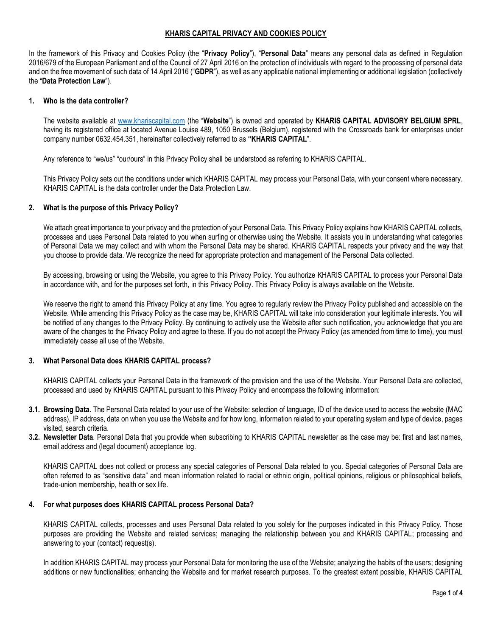# **KHARIS CAPITAL PRIVACY AND COOKIES POLICY**

In the framework of this Privacy and Cookies Policy (the "**Privacy Policy**"), "**Personal Data**" means any personal data as defined in Regulation 2016/679 of the European Parliament and of the Council of 27 April 2016 on the protection of individuals with regard to the processing of personal data and on the free movement of such data of 14 April 2016 ("**GDPR**"), as well as any applicable national implementing or additional legislation (collectively the "**Data Protection Law**").

#### **1. Who is the data controller?**

The website available at [www.khariscapital.com](http://www.khariscapital.com/) (the "**Website**") is owned and operated by **KHARIS CAPITAL ADVISORY BELGIUM SPRL**, having its registered office at located Avenue Louise 489, 1050 Brussels (Belgium), registered with the Crossroads bank for enterprises under company number 0632.454.351, hereinafter collectively referred to as **"KHARIS CAPITAL**".

Any reference to "we/us" "our/ours" in this Privacy Policy shall be understood as referring to KHARIS CAPITAL.

This Privacy Policy sets out the conditions under which KHARIS CAPITAL may process your Personal Data, with your consent where necessary. KHARIS CAPITAL is the data controller under the Data Protection Law.

## **2. What is the purpose of this Privacy Policy?**

We attach great importance to your privacy and the protection of your Personal Data. This Privacy Policy explains how KHARIS CAPITAL collects, processes and uses Personal Data related to you when surfing or otherwise using the Website. It assists you in understanding what categories of Personal Data we may collect and with whom the Personal Data may be shared. KHARIS CAPITAL respects your privacy and the way that you choose to provide data. We recognize the need for appropriate protection and management of the Personal Data collected.

By accessing, browsing or using the Website, you agree to this Privacy Policy. You authorize KHARIS CAPITAL to process your Personal Data in accordance with, and for the purposes set forth, in this Privacy Policy. This Privacy Policy is always available on the Website.

We reserve the right to amend this Privacy Policy at any time. You agree to regularly review the Privacy Policy published and accessible on the Website. While amending this Privacy Policy as the case may be, KHARIS CAPITAL will take into consideration your legitimate interests. You will be notified of any changes to the Privacy Policy. By continuing to actively use the Website after such notification, you acknowledge that you are aware of the changes to the Privacy Policy and agree to these. If you do not accept the Privacy Policy (as amended from time to time), you must immediately cease all use of the Website.

#### **3. What Personal Data does KHARIS CAPITAL process?**

KHARIS CAPITAL collects your Personal Data in the framework of the provision and the use of the Website. Your Personal Data are collected, processed and used by KHARIS CAPITAL pursuant to this Privacy Policy and encompass the following information:

- **3.1. Browsing Data**. The Personal Data related to your use of the Website: selection of language, ID of the device used to access the website (MAC address), IP address, data on when you use the Website and for how long, information related to your operating system and type of device, pages visited, search criteria.
- **3.2. Newsletter Data***.* Personal Data that you provide when subscribing to KHARIS CAPITAL newsletter as the case may be: first and last names, email address and (legal document) acceptance log.

KHARIS CAPITAL does not collect or process any special categories of Personal Data related to you. Special categories of Personal Data are often referred to as "sensitive data" and mean information related to racial or ethnic origin, political opinions, religious or philosophical beliefs, trade-union membership, health or sex life.

#### **4. For what purposes does KHARIS CAPITAL process Personal Data?**

KHARIS CAPITAL collects, processes and uses Personal Data related to you solely for the purposes indicated in this Privacy Policy. Those purposes are providing the Website and related services; managing the relationship between you and KHARIS CAPITAL; processing and answering to your (contact) request(s).

In addition KHARIS CAPITAL may process your Personal Data for monitoring the use of the Website; analyzing the habits of the users; designing additions or new functionalities; enhancing the Website and for market research purposes. To the greatest extent possible, KHARIS CAPITAL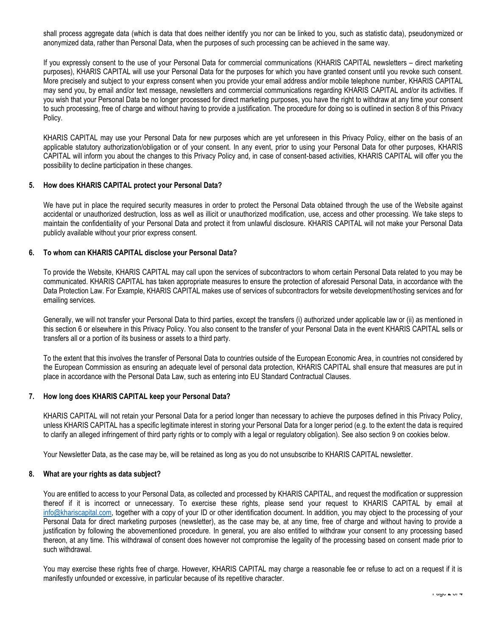shall process aggregate data (which is data that does neither identify you nor can be linked to you, such as statistic data), pseudonymized or anonymized data, rather than Personal Data, when the purposes of such processing can be achieved in the same way.

If you expressly consent to the use of your Personal Data for commercial communications (KHARIS CAPITAL newsletters – direct marketing purposes), KHARIS CAPITAL will use your Personal Data for the purposes for which you have granted consent until you revoke such consent. More precisely and subject to your express consent when you provide your email address and/or mobile telephone number, KHARIS CAPITAL may send you, by email and/or text message, newsletters and commercial communications regarding KHARIS CAPITAL and/or its activities. If you wish that your Personal Data be no longer processed for direct marketing purposes, you have the right to withdraw at any time your consent to such processing, free of charge and without having to provide a justification. The procedure for doing so is outlined in section [8](#page-1-0) of this Privacy Policy.

KHARIS CAPITAL may use your Personal Data for new purposes which are yet unforeseen in this Privacy Policy, either on the basis of an applicable statutory authorization/obligation or of your consent. In any event, prior to using your Personal Data for other purposes, KHARIS CAPITAL will inform you about the changes to this Privacy Policy and, in case of consent-based activities, KHARIS CAPITAL will offer you the possibility to decline participation in these changes.

## **5. How does KHARIS CAPITAL protect your Personal Data?**

We have put in place the required security measures in order to protect the Personal Data obtained through the use of the Website against accidental or unauthorized destruction, loss as well as illicit or unauthorized modification, use, access and other processing. We take steps to maintain the confidentiality of your Personal Data and protect it from unlawful disclosure. KHARIS CAPITAL will not make your Personal Data publicly available without your prior express consent.

## <span id="page-1-1"></span>**6. To whom can KHARIS CAPITAL disclose your Personal Data?**

To provide the Website, KHARIS CAPITAL may call upon the services of subcontractors to whom certain Personal Data related to you may be communicated. KHARIS CAPITAL has taken appropriate measures to ensure the protection of aforesaid Personal Data, in accordance with the Data Protection Law. For Example, KHARIS CAPITAL makes use of services of subcontractors for website development/hosting services and for emailing services.

Generally, we will not transfer your Personal Data to third parties, except the transfers (i) authorized under applicable law or (ii) as mentioned in this sectio[n 6](#page-1-1) or elsewhere in this Privacy Policy. You also consent to the transfer of your Personal Data in the event KHARIS CAPITAL sells or transfers all or a portion of its business or assets to a third party.

To the extent that this involves the transfer of Personal Data to countries outside of the European Economic Area, in countries not considered by the European Commission as ensuring an adequate level of personal data protection, KHARIS CAPITAL shall ensure that measures are put in place in accordance with the Personal Data Law, such as entering into EU Standard Contractual Clauses.

# **7. How long does KHARIS CAPITAL keep your Personal Data?**

KHARIS CAPITAL will not retain your Personal Data for a period longer than necessary to achieve the purposes defined in this Privacy Policy, unless KHARIS CAPITAL has a specific legitimate interest in storing your Personal Data for a longer period (e.g. to the extent the data is required to clarify an alleged infringement of third party rights or to comply with a legal or regulatory obligation). See also section [9](#page-2-0) on cookies below.

Your Newsletter Data, as the case may be, will be retained as long as you do not unsubscribe to KHARIS CAPITAL newsletter.

#### <span id="page-1-0"></span>**8. What are your rights as data subject?**

You are entitled to access to your Personal Data, as collected and processed by KHARIS CAPITAL, and request the modification or suppression thereof if it is incorrect or unnecessary. To exercise these rights, please send your request to KHARIS CAPITAL by email at [info@khariscapital.com,](mailto:info@khariscapital.com) together with a copy of your ID or other identification document. In addition, you may object to the processing of your Personal Data for direct marketing purposes (newsletter), as the case may be, at any time, free of charge and without having to provide a justification by following the abovementioned procedure. In general, you are also entitled to withdraw your consent to any processing based thereon, at any time. This withdrawal of consent does however not compromise the legality of the processing based on consent made prior to such withdrawal.

You may exercise these rights free of charge. However, KHARIS CAPITAL may charge a reasonable fee or refuse to act on a request if it is manifestly unfounded or excessive, in particular because of its repetitive character.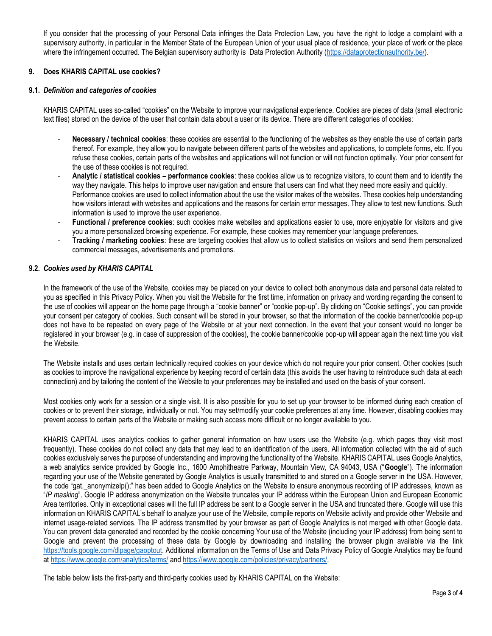If you consider that the processing of your Personal Data infringes the Data Protection Law, you have the right to lodge a complaint with a supervisory authority, in particular in the Member State of the European Union of your usual place of residence, your place of work or the place where the infringement occurred. The Belgian supervisory authority is Data Protection Authority [\(https://dataprotectionauthority.be/\)](https://dataprotectionauthority.be/).

# <span id="page-2-0"></span>**9. Does KHARIS CAPITAL use cookies?**

## **9.1.** *Definition and categories of cookies*

KHARIS CAPITAL uses so-called "cookies" on the Website to improve your navigational experience. Cookies are pieces of data (small electronic text files) stored on the device of the user that contain data about a user or its device. There are different categories of cookies:

- **Necessary / technical cookies**: these cookies are essential to the functioning of the websites as they enable the use of certain parts thereof. For example, they allow you to navigate between different parts of the websites and applications, to complete forms, etc. If you refuse these cookies, certain parts of the websites and applications will not function or will not function optimally. Your prior consent for the use of these cookies is not required.
- **Analytic / statistical cookies – performance cookies**: these cookies allow us to recognize visitors, to count them and to identify the way they navigate. This helps to improve user navigation and ensure that users can find what they need more easily and quickly. Performance cookies are used to collect information about the use the visitor makes of the websites. These cookies help understanding how visitors interact with websites and applications and the reasons for certain error messages. They allow to test new functions. Such information is used to improve the user experience.
- **Functional / preference cookies**: such cookies make websites and applications easier to use, more enjoyable for visitors and give you a more personalized browsing experience. For example, these cookies may remember your language preferences.
- **Tracking / marketing cookies**: these are targeting cookies that allow us to collect statistics on visitors and send them personalized commercial messages, advertisements and promotions.

## **9.2.** *Cookies used by KHARIS CAPITAL*

In the framework of the use of the Website, cookies may be placed on your device to collect both anonymous data and personal data related to you as specified in this Privacy Policy. When you visit the Website for the first time, information on privacy and wording regarding the consent to the use of cookies will appear on the home page through a "cookie banner" or "cookie pop-up". By clicking on "Cookie settings", you can provide your consent per category of cookies. Such consent will be stored in your browser, so that the information of the cookie banner/cookie pop-up does not have to be repeated on every page of the Website or at your next connection. In the event that your consent would no longer be registered in your browser (e.g. in case of suppression of the cookies), the cookie banner/cookie pop-up will appear again the next time you visit the Website.

The Website installs and uses certain technically required cookies on your device which do not require your prior consent. Other cookies (such as cookies to improve the navigational experience by keeping record of certain data (this avoids the user having to reintroduce such data at each connection) and by tailoring the content of the Website to your preferences may be installed and used on the basis of your consent.

Most cookies only work for a session or a single visit. It is also possible for you to set up your browser to be informed during each creation of cookies or to prevent their storage, individually or not. You may set/modify your cookie preferences at any time. However, disabling cookies may prevent access to certain parts of the Website or making such access more difficult or no longer available to you.

KHARIS CAPITAL uses analytics cookies to gather general information on how users use the Website (e.g. which pages they visit most frequently). These cookies do not collect any data that may lead to an identification of the users. All information collected with the aid of such cookies exclusively serves the purpose of understanding and improving the functionality of the Website. KHARIS CAPITAL uses Google Analytics, a web analytics service provided by Google Inc., 1600 Amphitheatre Parkway, Mountain View, CA 94043, USA ("**Google**"). The information regarding your use of the Website generated by Google Analytics is usually transmitted to and stored on a Google server in the USA. However, the code "gat.\_anonymizeIp();" has been added to Google Analytics on the Website to ensure anonymous recording of IP addresses, known as "*IP masking*". Google IP address anonymization on the Website truncates your IP address within the European Union and European Economic Area territories. Only in exceptional cases will the full IP address be sent to a Google server in the USA and truncated there. Google will use this information on KHARIS CAPITAL's behalf to analyze your use of the Website, compile reports on Website activity and provide other Website and internet usage-related services. The IP address transmitted by your browser as part of Google Analytics is not merged with other Google data. You can prevent data generated and recorded by the cookie concerning Your use of the Website (including your IP address) from being sent to Google and prevent the processing of these data by Google by downloading and installing the browser plugin available via the link [https://tools.google.com/dlpage/gaoptout.](https://tools.google.com/dlpage/gaoptout) Additional information on the Terms of Use and Data Privacy Policy of Google Analytics may be found at<https://www.google.com/analytics/terms/> an[d https://www.google.com/policies/privacy/partners/.](https://www.google.com/policies/privacy/partners/)

The table below lists the first-party and third-party cookies used by KHARIS CAPITAL on the Website: